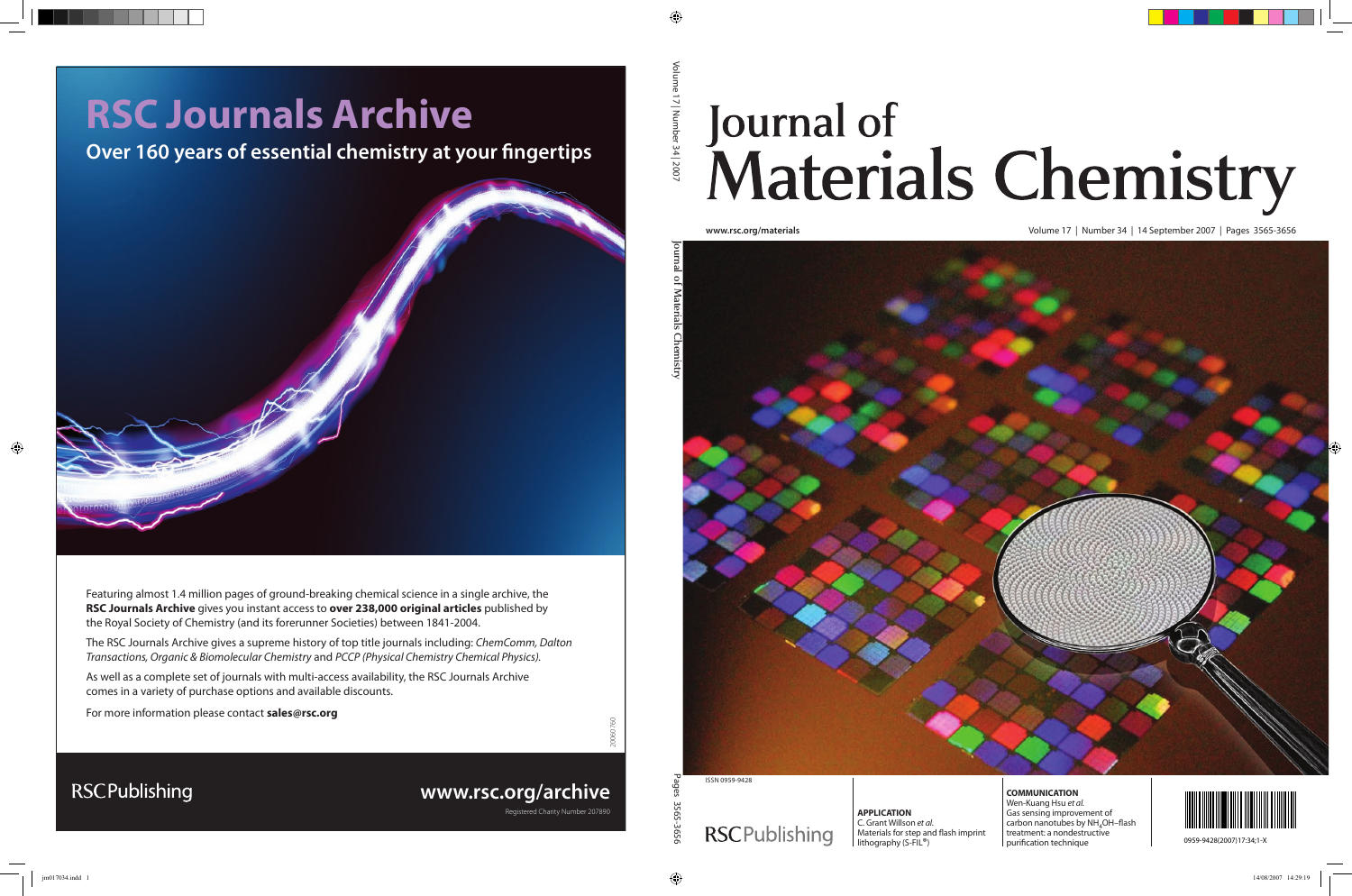# **Materials** Chemistry



ISSN 0959-9428

# **RSCPublishing**

**APPLICATION** C. Grant Willson *et al.* Materials for step and flash imprint lithography (S-FIL®)

**COMMUNICATION** Wen-Kuang Hsu *et al.* Gas sensing improvement of carbon nanotubes by NH<sub>4</sub>OH-flash treatment: a nondestructive

purification technique



0959-9428(2007)17:34;1-X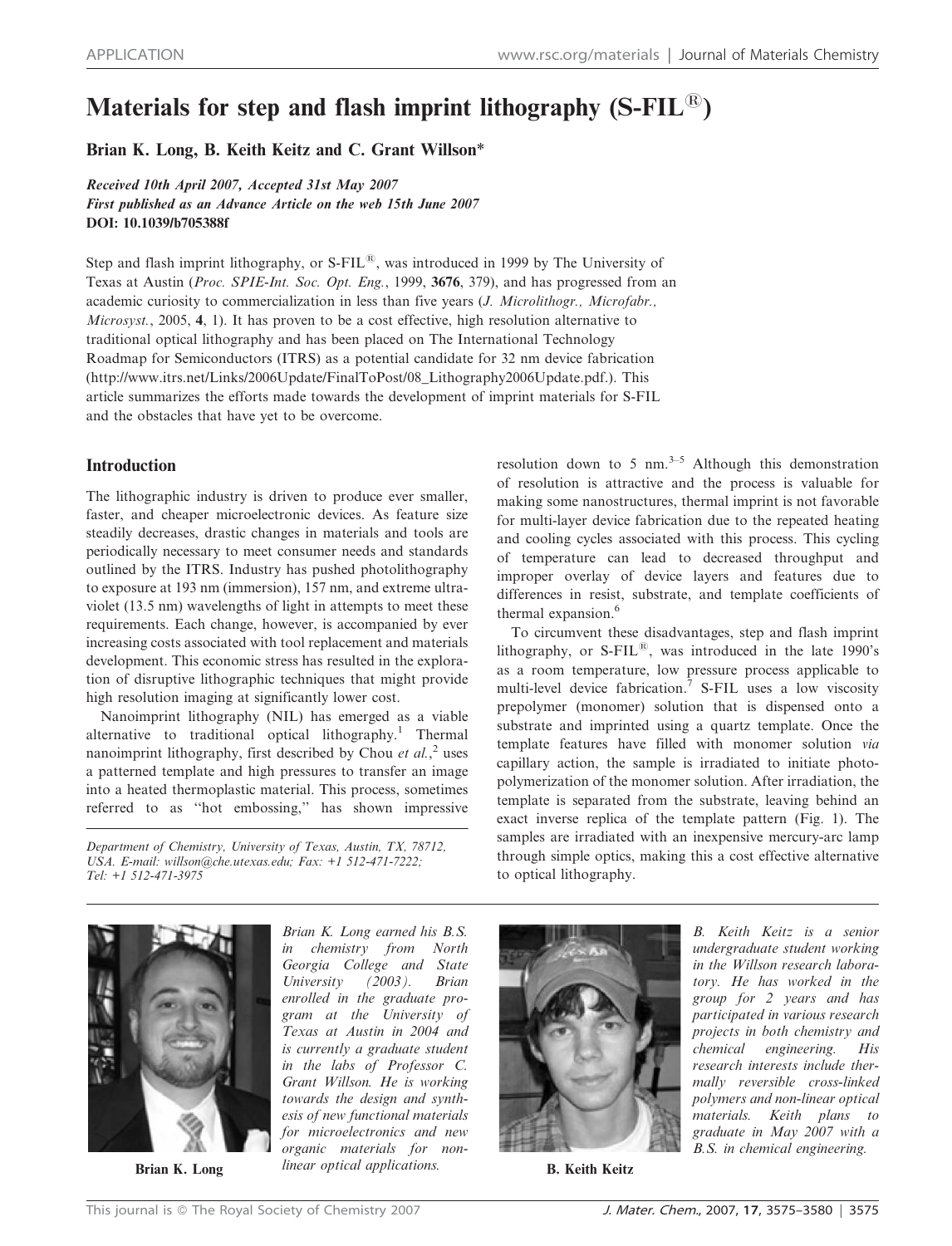## Materials for step and flash imprint lithography  $(S\text{-}FIL^{\circledR})$

### Brian K. Long, B. Keith Keitz and C. Grant Willson\*

Received 10th April 2007, Accepted 31st May 2007 First published as an Advance Article on the web 15th June 2007 DOI: 10.1039/b705388f

Step and flash imprint lithography, or  $S\text{-}FIL^{\textcircled{B}}$ , was introduced in 1999 by The University of Texas at Austin (Proc. SPIE-Int. Soc. Opt. Eng., 1999, 3676, 379), and has progressed from an academic curiosity to commercialization in less than five years (*J. Microlithogr., Microfabr.*, *Microsyst.*, 2005, 4, 1). It has proven to be a cost effective, high resolution alternative to traditional optical lithography and has been placed on The International Technology Roadmap for Semiconductors (ITRS) as a potential candidate for 32 nm device fabrication (http://www.itrs.net/Links/2006Update/FinalToPost/08\_Lithography2006Update.pdf.). This article summarizes the efforts made towards the development of imprint materials for S-FIL and the obstacles that have yet to be overcome.

### Introduction

The lithographic industry is driven to produce ever smaller, faster, and cheaper microelectronic devices. As feature size steadily decreases, drastic changes in materials and tools are periodically necessary to meet consumer needs and standards outlined by the ITRS. Industry has pushed photolithography to exposure at 193 nm (immersion), 157 nm, and extreme ultraviolet (13.5 nm) wavelengths of light in attempts to meet these requirements. Each change, however, is accompanied by ever increasing costs associated with tool replacement and materials development. This economic stress has resulted in the exploration of disruptive lithographic techniques that might provide high resolution imaging at significantly lower cost.

Nanoimprint lithography (NIL) has emerged as a viable alternative to traditional optical lithography.<sup>1</sup> Thermal nanoimprint lithography, first described by Chou et al.,<sup>2</sup> uses a patterned template and high pressures to transfer an image into a heated thermoplastic material. This process, sometimes referred to as ''hot embossing,'' has shown impressive

Department of Chemistry, University of Texas, Austin, TX, 78712, USA. E-mail: willson@che.utexas.edu; Fax: +1 512-471-7222; Tel: +1 512-471-3975

resolution down to 5 nm. $^{3-5}$  Although this demonstration of resolution is attractive and the process is valuable for making some nanostructures, thermal imprint is not favorable for multi-layer device fabrication due to the repeated heating and cooling cycles associated with this process. This cycling of temperature can lead to decreased throughput and improper overlay of device layers and features due to differences in resist, substrate, and template coefficients of thermal expansion.<sup>6</sup>

To circumvent these disadvantages, step and flash imprint lithography, or  $S$ -FIL<sup>®</sup>, was introduced in the late 1990's as a room temperature, low pressure process applicable to multi-level device fabrication.<sup>7</sup> S-FIL uses a low viscosity prepolymer (monomer) solution that is dispensed onto a substrate and imprinted using a quartz template. Once the template features have filled with monomer solution via capillary action, the sample is irradiated to initiate photopolymerization of the monomer solution. After irradiation, the template is separated from the substrate, leaving behind an exact inverse replica of the template pattern (Fig. 1). The samples are irradiated with an inexpensive mercury-arc lamp through simple optics, making this a cost effective alternative to optical lithography.



Brian K. Long

Brian K. Long earned his B.S. in chemistry from North Georgia College and State<br>University (2003). Brian University (2003). Brian enrolled in the graduate program at the University of Texas at Austin in 2004 and is currently a graduate student in the labs of Professor C. Grant Willson. He is working towards the design and synthesis of new functional materials for microelectronics and new organic materials for nonlinear optical applications. **B. Keith Keitz** 



B. Keith Keitz is a senior undergraduate student working in the Willson research laboratory. He has worked in the group for 2 years and has participated in various research projects in both chemistry and chemical engineering. His research interests include thermally reversible cross-linked polymers and non-linear optical materials. Keith plans to graduate in May 2007 with a B.S. in chemical engineering.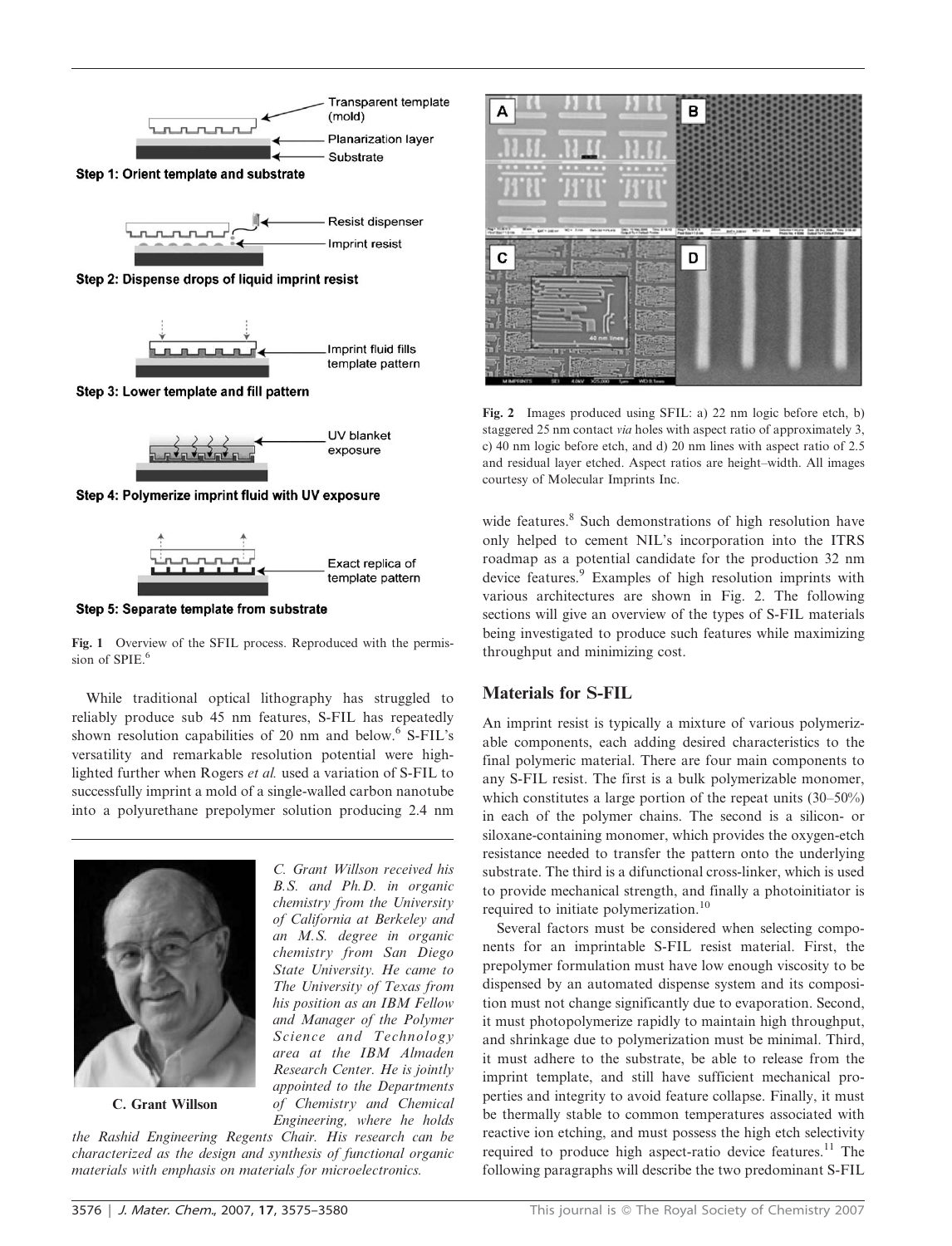

Step 5: Separate template from substrate

Fig. 1 Overview of the SFIL process. Reproduced with the permission of SPIE.<sup>6</sup>

While traditional optical lithography has struggled to reliably produce sub 45 nm features, S-FIL has repeatedly shown resolution capabilities of 20 nm and below. $6$  S-FIL's versatility and remarkable resolution potential were highlighted further when Rogers et al. used a variation of S-FIL to successfully imprint a mold of a single-walled carbon nanotube into a polyurethane prepolymer solution producing 2.4 nm



C. Grant Willson

C. Grant Willson received his B.S. and Ph.D. in organic chemistry from the University of California at Berkeley and an M.S. degree in organic chemistry from San Diego State University. He came to The University of Texas from his position as an IBM Fellow and Manager of the Polymer Science and Technology area at the IBM Almaden Research Center. He is jointly appointed to the Departments of Chemistry and Chemical Engineering, where he holds

the Rashid Engineering Regents Chair. His research can be characterized as the design and synthesis of functional organic materials with emphasis on materials for microelectronics.



Fig. 2 Images produced using SFIL: a) 22 nm logic before etch, b) staggered 25 nm contact via holes with aspect ratio of approximately 3, c) 40 nm logic before etch, and d) 20 nm lines with aspect ratio of 2.5 and residual layer etched. Aspect ratios are height–width. All images courtesy of Molecular Imprints Inc.

wide features.<sup>8</sup> Such demonstrations of high resolution have only helped to cement NIL's incorporation into the ITRS roadmap as a potential candidate for the production 32 nm device features.<sup>9</sup> Examples of high resolution imprints with various architectures are shown in Fig. 2. The following sections will give an overview of the types of S-FIL materials being investigated to produce such features while maximizing throughput and minimizing cost.

### Materials for S-FIL

An imprint resist is typically a mixture of various polymerizable components, each adding desired characteristics to the final polymeric material. There are four main components to any S-FIL resist. The first is a bulk polymerizable monomer, which constitutes a large portion of the repeat units (30–50%) in each of the polymer chains. The second is a silicon- or siloxane-containing monomer, which provides the oxygen-etch resistance needed to transfer the pattern onto the underlying substrate. The third is a difunctional cross-linker, which is used to provide mechanical strength, and finally a photoinitiator is required to initiate polymerization.<sup>10</sup>

Several factors must be considered when selecting components for an imprintable S-FIL resist material. First, the prepolymer formulation must have low enough viscosity to be dispensed by an automated dispense system and its composition must not change significantly due to evaporation. Second, it must photopolymerize rapidly to maintain high throughput, and shrinkage due to polymerization must be minimal. Third, it must adhere to the substrate, be able to release from the imprint template, and still have sufficient mechanical properties and integrity to avoid feature collapse. Finally, it must be thermally stable to common temperatures associated with reactive ion etching, and must possess the high etch selectivity required to produce high aspect-ratio device features.<sup>11</sup> The following paragraphs will describe the two predominant S-FIL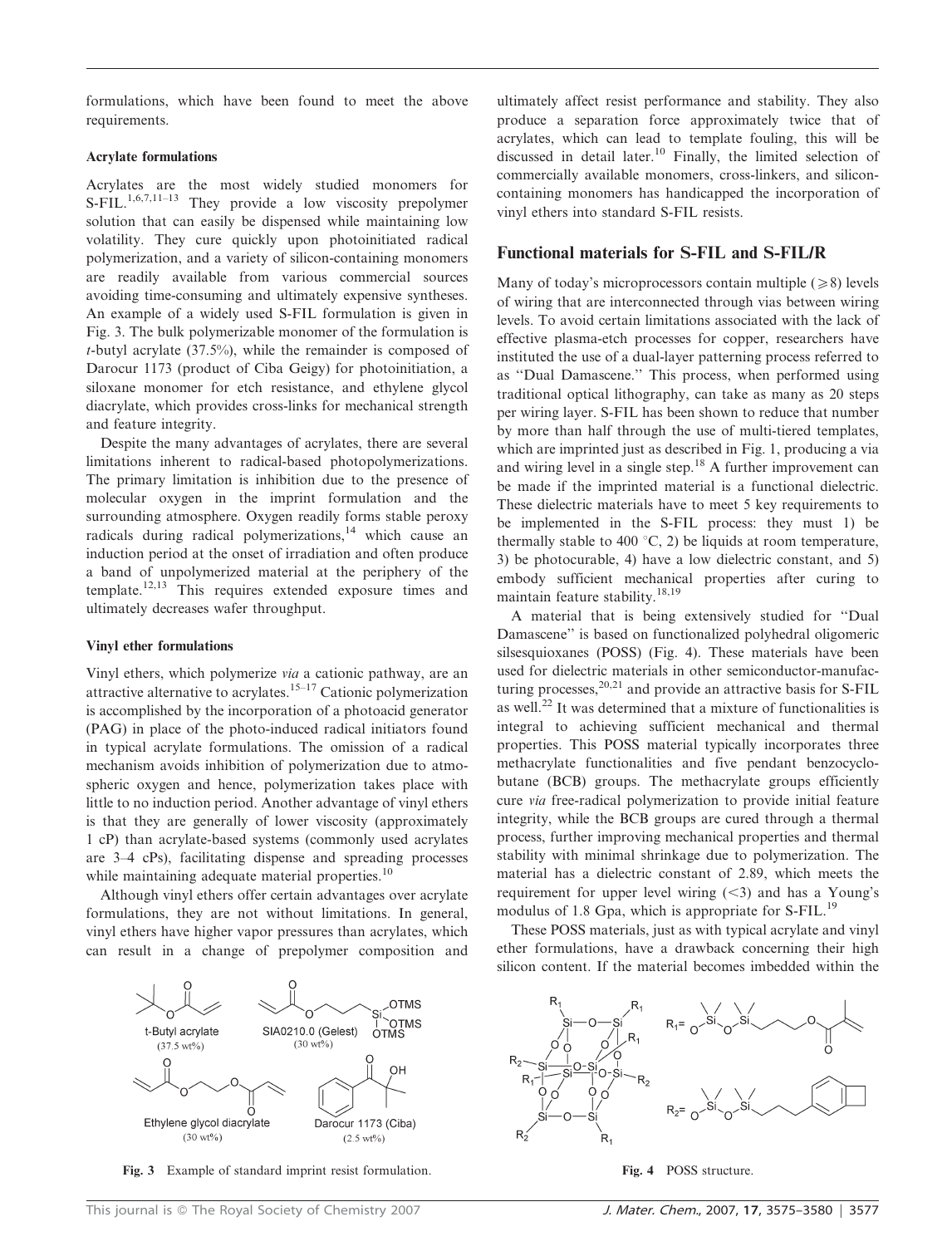formulations, which have been found to meet the above requirements.

### Acrylate formulations

Acrylates are the most widely studied monomers for S-FIL.<sup>1,6,7,11-13</sup> They provide a low viscosity prepolymer solution that can easily be dispensed while maintaining low volatility. They cure quickly upon photoinitiated radical polymerization, and a variety of silicon-containing monomers are readily available from various commercial sources avoiding time-consuming and ultimately expensive syntheses. An example of a widely used S-FIL formulation is given in Fig. 3. The bulk polymerizable monomer of the formulation is t-butyl acrylate (37.5%), while the remainder is composed of Darocur 1173 (product of Ciba Geigy) for photoinitiation, a siloxane monomer for etch resistance, and ethylene glycol diacrylate, which provides cross-links for mechanical strength and feature integrity.

Despite the many advantages of acrylates, there are several limitations inherent to radical-based photopolymerizations. The primary limitation is inhibition due to the presence of molecular oxygen in the imprint formulation and the surrounding atmosphere. Oxygen readily forms stable peroxy radicals during radical polymerizations, $14$  which cause an induction period at the onset of irradiation and often produce a band of unpolymerized material at the periphery of the template.12,13 This requires extended exposure times and ultimately decreases wafer throughput.

### Vinyl ether formulations

Vinyl ethers, which polymerize via a cationic pathway, are an attractive alternative to acrylates.<sup>15–17</sup> Cationic polymerization is accomplished by the incorporation of a photoacid generator (PAG) in place of the photo-induced radical initiators found in typical acrylate formulations. The omission of a radical mechanism avoids inhibition of polymerization due to atmospheric oxygen and hence, polymerization takes place with little to no induction period. Another advantage of vinyl ethers is that they are generally of lower viscosity (approximately 1 cP) than acrylate-based systems (commonly used acrylates are 3–4 cPs), facilitating dispense and spreading processes while maintaining adequate material properties.<sup>10</sup>

Although vinyl ethers offer certain advantages over acrylate formulations, they are not without limitations. In general, vinyl ethers have higher vapor pressures than acrylates, which can result in a change of prepolymer composition and



### Functional materials for S-FIL and S-FIL/R

Many of today's microprocessors contain multiple  $(\geq 8)$  levels of wiring that are interconnected through vias between wiring levels. To avoid certain limitations associated with the lack of effective plasma-etch processes for copper, researchers have instituted the use of a dual-layer patterning process referred to as ''Dual Damascene.'' This process, when performed using traditional optical lithography, can take as many as 20 steps per wiring layer. S-FIL has been shown to reduce that number by more than half through the use of multi-tiered templates, which are imprinted just as described in Fig. 1, producing a via and wiring level in a single step.<sup>18</sup> A further improvement can be made if the imprinted material is a functional dielectric. These dielectric materials have to meet 5 key requirements to be implemented in the S-FIL process: they must 1) be thermally stable to 400  $\degree$ C, 2) be liquids at room temperature, 3) be photocurable, 4) have a low dielectric constant, and 5) embody sufficient mechanical properties after curing to maintain feature stability.18,19

A material that is being extensively studied for ''Dual Damascene'' is based on functionalized polyhedral oligomeric silsesquioxanes (POSS) (Fig. 4). These materials have been used for dielectric materials in other semiconductor-manufacturing processes, $2^{0,21}$  and provide an attractive basis for S-FIL as well.<sup>22</sup> It was determined that a mixture of functionalities is integral to achieving sufficient mechanical and thermal properties. This POSS material typically incorporates three methacrylate functionalities and five pendant benzocyclobutane (BCB) groups. The methacrylate groups efficiently cure via free-radical polymerization to provide initial feature integrity, while the BCB groups are cured through a thermal process, further improving mechanical properties and thermal stability with minimal shrinkage due to polymerization. The material has a dielectric constant of 2.89, which meets the requirement for upper level wiring  $\leq$ 3) and has a Young's modulus of 1.8 Gpa, which is appropriate for S-FIL.<sup>19</sup>

These POSS materials, just as with typical acrylate and vinyl ether formulations, have a drawback concerning their high silicon content. If the material becomes imbedded within the



Fig. 3 Example of standard imprint resist formulation. Fig. 4 POSS structure.

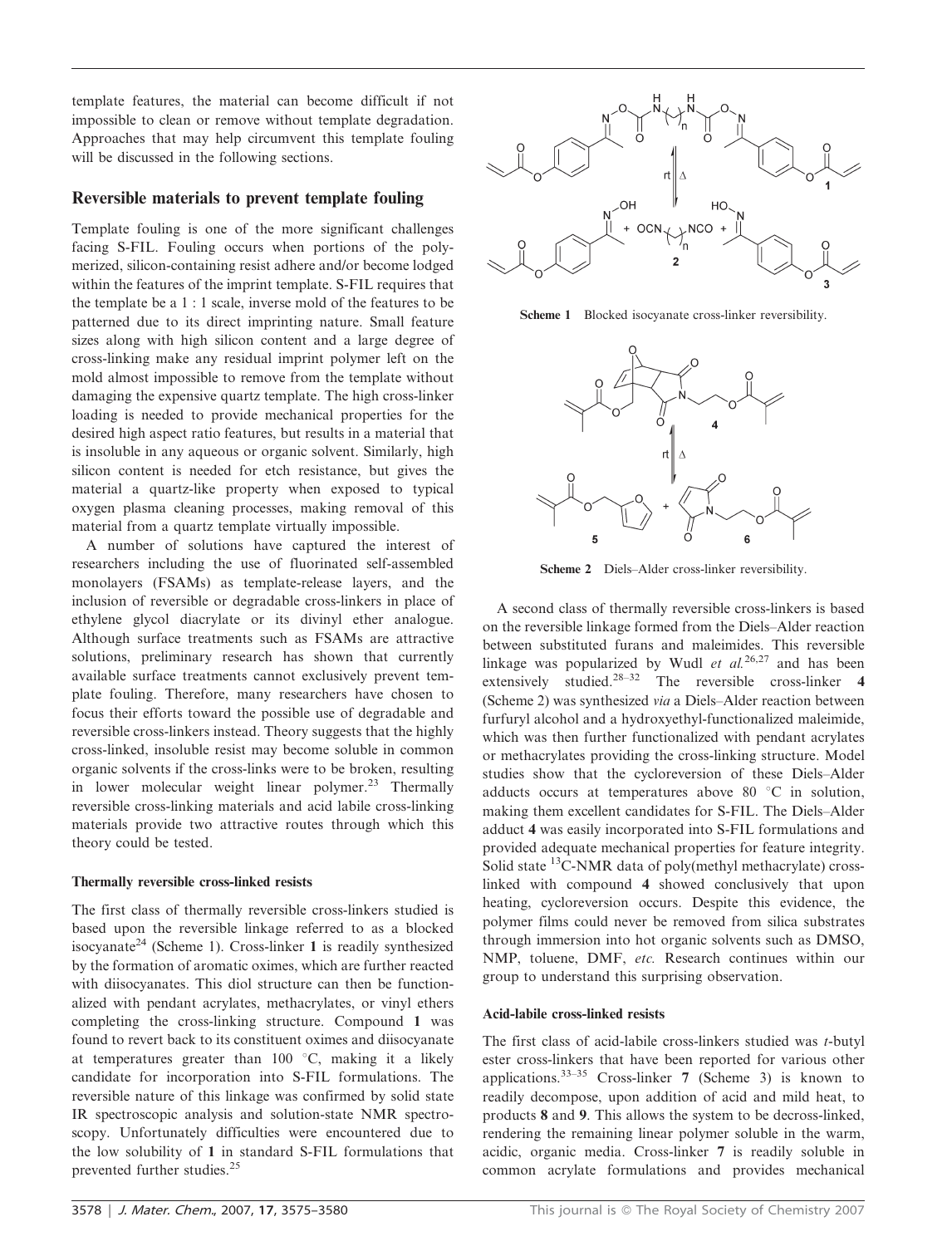template features, the material can become difficult if not impossible to clean or remove without template degradation. Approaches that may help circumvent this template fouling will be discussed in the following sections.

### Reversible materials to prevent template fouling

Template fouling is one of the more significant challenges facing S-FIL. Fouling occurs when portions of the polymerized, silicon-containing resist adhere and/or become lodged within the features of the imprint template. S-FIL requires that the template be a 1 : 1 scale, inverse mold of the features to be patterned due to its direct imprinting nature. Small feature sizes along with high silicon content and a large degree of cross-linking make any residual imprint polymer left on the mold almost impossible to remove from the template without damaging the expensive quartz template. The high cross-linker loading is needed to provide mechanical properties for the desired high aspect ratio features, but results in a material that is insoluble in any aqueous or organic solvent. Similarly, high silicon content is needed for etch resistance, but gives the material a quartz-like property when exposed to typical oxygen plasma cleaning processes, making removal of this material from a quartz template virtually impossible.

A number of solutions have captured the interest of researchers including the use of fluorinated self-assembled monolayers (FSAMs) as template-release layers, and the inclusion of reversible or degradable cross-linkers in place of ethylene glycol diacrylate or its divinyl ether analogue. Although surface treatments such as FSAMs are attractive solutions, preliminary research has shown that currently available surface treatments cannot exclusively prevent template fouling. Therefore, many researchers have chosen to focus their efforts toward the possible use of degradable and reversible cross-linkers instead. Theory suggests that the highly cross-linked, insoluble resist may become soluble in common organic solvents if the cross-links were to be broken, resulting in lower molecular weight linear polymer.<sup>23</sup> Thermally reversible cross-linking materials and acid labile cross-linking materials provide two attractive routes through which this theory could be tested.

### Thermally reversible cross-linked resists

The first class of thermally reversible cross-linkers studied is based upon the reversible linkage referred to as a blocked isocyanate<sup>24</sup> (Scheme 1). Cross-linker 1 is readily synthesized by the formation of aromatic oximes, which are further reacted with diisocyanates. This diol structure can then be functionalized with pendant acrylates, methacrylates, or vinyl ethers completing the cross-linking structure. Compound 1 was found to revert back to its constituent oximes and diisocyanate at temperatures greater than 100  $\degree$ C, making it a likely candidate for incorporation into S-FIL formulations. The reversible nature of this linkage was confirmed by solid state IR spectroscopic analysis and solution-state NMR spectroscopy. Unfortunately difficulties were encountered due to the low solubility of 1 in standard S-FIL formulations that prevented further studies.<sup>25</sup>



Scheme 1 Blocked isocyanate cross-linker reversibility.



Scheme 2 Diels–Alder cross-linker reversibility.

A second class of thermally reversible cross-linkers is based on the reversible linkage formed from the Diels–Alder reaction between substituted furans and maleimides. This reversible linkage was popularized by Wudl et  $al^{26,27}$  and has been extensively studied.<sup>28–32</sup> The reversible cross-linker 4 (Scheme 2) was synthesized via a Diels–Alder reaction between furfuryl alcohol and a hydroxyethyl-functionalized maleimide, which was then further functionalized with pendant acrylates or methacrylates providing the cross-linking structure. Model studies show that the cycloreversion of these Diels–Alder adducts occurs at temperatures above 80  $\degree$ C in solution, making them excellent candidates for S-FIL. The Diels–Alder adduct 4 was easily incorporated into S-FIL formulations and provided adequate mechanical properties for feature integrity. Solid state <sup>13</sup>C-NMR data of poly(methyl methacrylate) crosslinked with compound 4 showed conclusively that upon heating, cycloreversion occurs. Despite this evidence, the polymer films could never be removed from silica substrates through immersion into hot organic solvents such as DMSO, NMP, toluene, DMF, etc. Research continues within our group to understand this surprising observation.

### Acid-labile cross-linked resists

The first class of acid-labile cross-linkers studied was t-butyl ester cross-linkers that have been reported for various other applications.<sup>33–35</sup> Cross-linker 7 (Scheme 3) is known to readily decompose, upon addition of acid and mild heat, to products 8 and 9. This allows the system to be decross-linked, rendering the remaining linear polymer soluble in the warm, acidic, organic media. Cross-linker 7 is readily soluble in common acrylate formulations and provides mechanical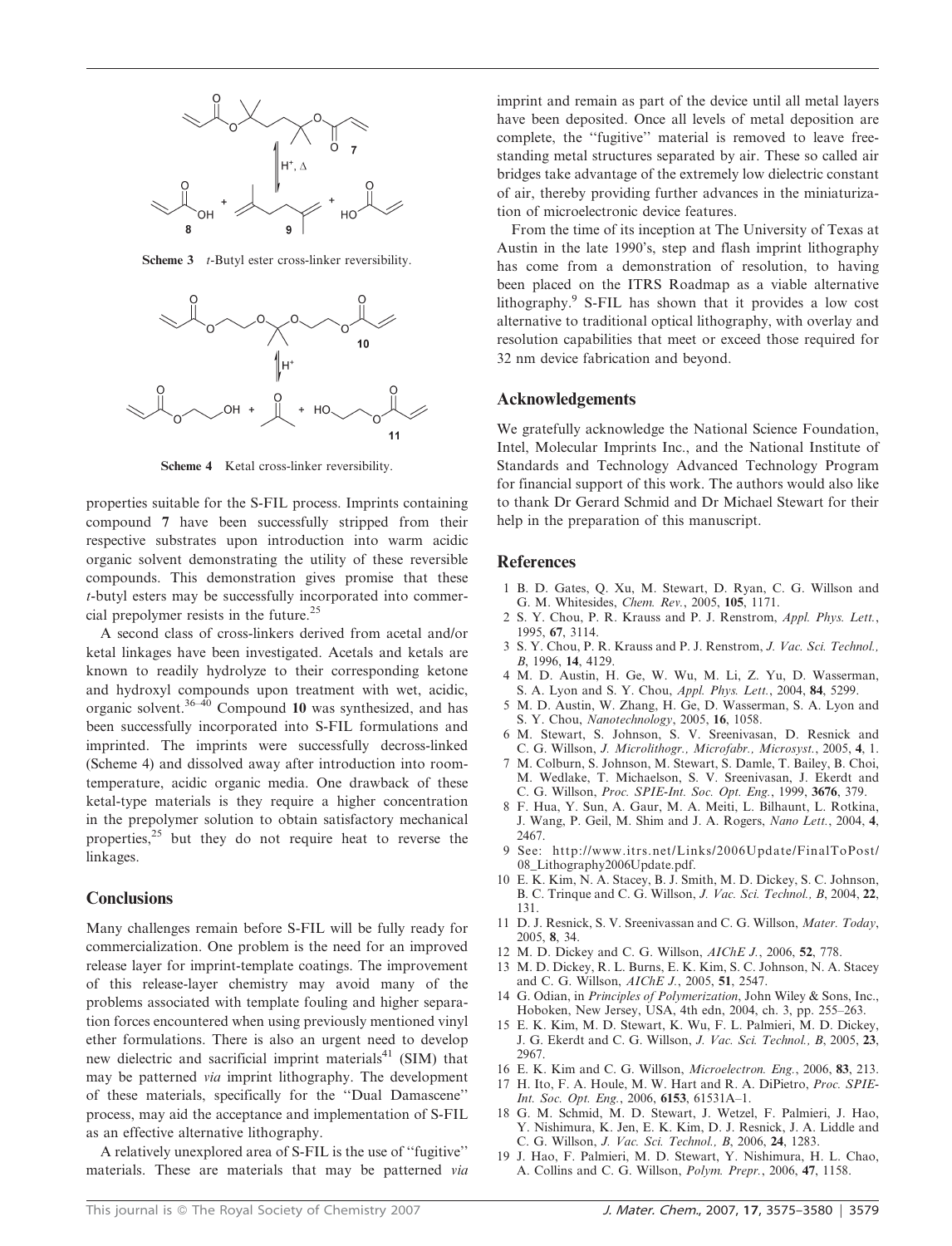

**Scheme 3**  $t$ -Butyl ester cross-linker reversibility.



Scheme 4 Ketal cross-linker reversibility.

properties suitable for the S-FIL process. Imprints containing compound 7 have been successfully stripped from their respective substrates upon introduction into warm acidic organic solvent demonstrating the utility of these reversible compounds. This demonstration gives promise that these t-butyl esters may be successfully incorporated into commercial prepolymer resists in the future.<sup>25</sup>

A second class of cross-linkers derived from acetal and/or ketal linkages have been investigated. Acetals and ketals are known to readily hydrolyze to their corresponding ketone and hydroxyl compounds upon treatment with wet, acidic, organic solvent.36–40 Compound 10 was synthesized, and has been successfully incorporated into S-FIL formulations and imprinted. The imprints were successfully decross-linked (Scheme 4) and dissolved away after introduction into roomtemperature, acidic organic media. One drawback of these ketal-type materials is they require a higher concentration in the prepolymer solution to obtain satisfactory mechanical properties, $25$  but they do not require heat to reverse the linkages.

### **Conclusions**

Many challenges remain before S-FIL will be fully ready for commercialization. One problem is the need for an improved release layer for imprint-template coatings. The improvement of this release-layer chemistry may avoid many of the problems associated with template fouling and higher separation forces encountered when using previously mentioned vinyl ether formulations. There is also an urgent need to develop new dielectric and sacrificial imprint materials<sup>41</sup> (SIM) that may be patterned via imprint lithography. The development of these materials, specifically for the ''Dual Damascene'' process, may aid the acceptance and implementation of S-FIL as an effective alternative lithography.

A relatively unexplored area of S-FIL is the use of ''fugitive'' materials. These are materials that may be patterned via

imprint and remain as part of the device until all metal layers have been deposited. Once all levels of metal deposition are complete, the ''fugitive'' material is removed to leave freestanding metal structures separated by air. These so called air bridges take advantage of the extremely low dielectric constant of air, thereby providing further advances in the miniaturization of microelectronic device features.

From the time of its inception at The University of Texas at Austin in the late 1990's, step and flash imprint lithography has come from a demonstration of resolution, to having been placed on the ITRS Roadmap as a viable alternative lithography.<sup>9</sup> S-FIL has shown that it provides a low cost alternative to traditional optical lithography, with overlay and resolution capabilities that meet or exceed those required for 32 nm device fabrication and beyond.

### Acknowledgements

We gratefully acknowledge the National Science Foundation, Intel, Molecular Imprints Inc., and the National Institute of Standards and Technology Advanced Technology Program for financial support of this work. The authors would also like to thank Dr Gerard Schmid and Dr Michael Stewart for their help in the preparation of this manuscript.

### References

- 1 B. D. Gates, Q. Xu, M. Stewart, D. Ryan, C. G. Willson and G. M. Whitesides, Chem. Rev., 2005, 105, 1171.
- 2 S. Y. Chou, P. R. Krauss and P. J. Renstrom, Appl. Phys. Lett., 1995, 67, 3114.
- 3 S. Y. Chou, P. R. Krauss and P. J. Renstrom, J. Vac. Sci. Technol., B, 1996, 14, 4129.
- 4 M. D. Austin, H. Ge, W. Wu, M. Li, Z. Yu, D. Wasserman, S. A. Lyon and S. Y. Chou, Appl. Phys. Lett., 2004, 84, 5299.
- 5 M. D. Austin, W. Zhang, H. Ge, D. Wasserman, S. A. Lyon and S. Y. Chou, Nanotechnology, 2005, 16, 1058.
- 6 M. Stewart, S. Johnson, S. V. Sreenivasan, D. Resnick and C. G. Willson, J. Microlithogr., Microfabr., Microsyst., 2005, 4, 1.
- 7 M. Colburn, S. Johnson, M. Stewart, S. Damle, T. Bailey, B. Choi, M. Wedlake, T. Michaelson, S. V. Sreenivasan, J. Ekerdt and C. G. Willson, Proc. SPIE-Int. Soc. Opt. Eng., 1999, 3676, 379.
- 8 F. Hua, Y. Sun, A. Gaur, M. A. Meiti, L. Bilhaunt, L. Rotkina, J. Wang, P. Geil, M. Shim and J. A. Rogers, Nano Lett., 2004, 4, 2467.
- 9 See: http://www.itrs.net/Links/2006Update/FinalToPost/ 08\_Lithography2006Update.pdf.
- 10 E. K. Kim, N. A. Stacey, B. J. Smith, M. D. Dickey, S. C. Johnson, B. C. Trinque and C. G. Willson, J. Vac. Sci. Technol., B, 2004, 22, 131.
- 11 D. J. Resnick, S. V. Sreenivassan and C. G. Willson, Mater. Today, 2005, 8, 34.
- 12 M. D. Dickey and C. G. Willson, AIChE J., 2006, 52, 778.
- 13 M. D. Dickey, R. L. Burns, E. K. Kim, S. C. Johnson, N. A. Stacey and C. G. Willson, AIChE J., 2005, 51, 2547.
- 14 G. Odian, in Principles of Polymerization, John Wiley & Sons, Inc., Hoboken, New Jersey, USA, 4th edn, 2004, ch. 3, pp. 255–263.
- 15 E. K. Kim, M. D. Stewart, K. Wu, F. L. Palmieri, M. D. Dickey, J. G. Ekerdt and C. G. Willson, J. Vac. Sci. Technol., B, 2005, 23, 2967.
- 16 E. K. Kim and C. G. Willson, Microelectron. Eng., 2006, 83, 213.
- 17 H. Ito, F. A. Houle, M. W. Hart and R. A. DiPietro, Proc. SPIE-Int. Soc. Opt. Eng., 2006, 6153, 61531A–1.
- 18 G. M. Schmid, M. D. Stewart, J. Wetzel, F. Palmieri, J. Hao, Y. Nishimura, K. Jen, E. K. Kim, D. J. Resnick, J. A. Liddle and C. G. Willson, J. Vac. Sci. Technol., B, 2006, 24, 1283.
- 19 J. Hao, F. Palmieri, M. D. Stewart, Y. Nishimura, H. L. Chao, A. Collins and C. G. Willson, Polym. Prepr., 2006, 47, 1158.